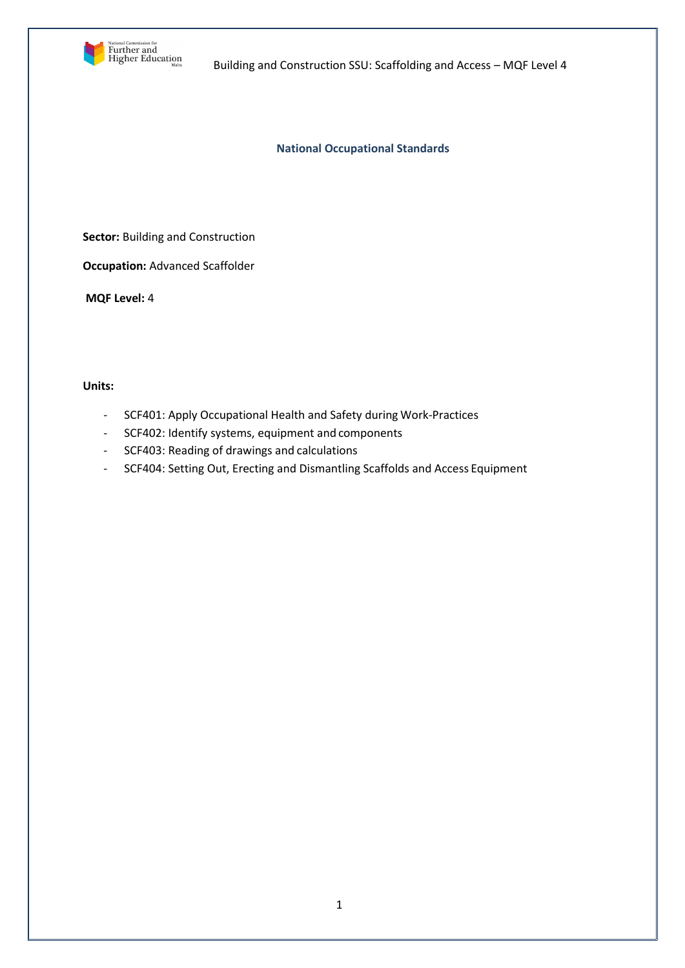

**National Occupational Standards**

**Sector: Building and Construction** 

**Occupation:** Advanced Scaffolder

**MQF Level:** 4

# **Units:**

- SCF401: Apply Occupational Health and Safety during Work-Practices
- SCF402: Identify systems, equipment and components
- SCF403: Reading of drawings and calculations
- SCF404: Setting Out, Erecting and Dismantling Scaffolds and Access Equipment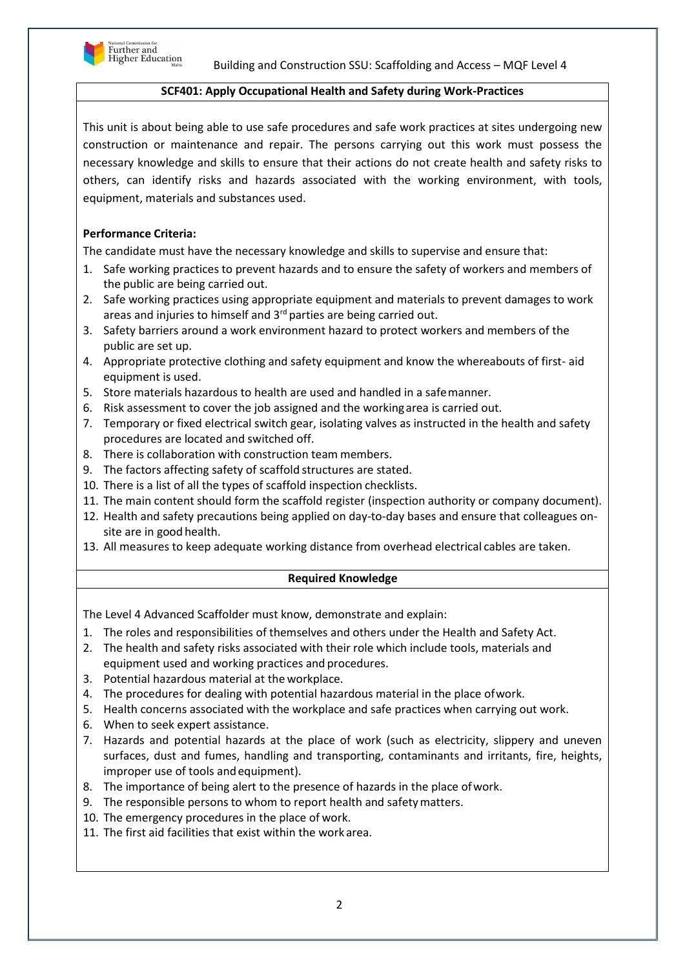

## **SCF401: Apply Occupational Health and Safety during Work-Practices**

This unit is about being able to use safe procedures and safe work practices at sites undergoing new construction or maintenance and repair. The persons carrying out this work must possess the necessary knowledge and skills to ensure that their actions do not create health and safety risks to others, can identify risks and hazards associated with the working environment, with tools, equipment, materials and substances used.

# **Performance Criteria:**

The candidate must have the necessary knowledge and skills to supervise and ensure that:

- 1. Safe working practices to prevent hazards and to ensure the safety of workers and members of the public are being carried out.
- 2. Safe working practices using appropriate equipment and materials to prevent damages to work areas and injuries to himself and 3<sup>rd</sup> parties are being carried out.
- 3. Safety barriers around a work environment hazard to protect workers and members of the public are set up.
- 4. Appropriate protective clothing and safety equipment and know the whereabouts of first- aid equipment is used.
- 5. Store materials hazardous to health are used and handled in a safemanner.
- 6. Risk assessment to cover the job assigned and the workingarea is carried out.
- 7. Temporary or fixed electrical switch gear, isolating valves as instructed in the health and safety procedures are located and switched off.
- 8. There is collaboration with construction team members.
- 9. The factors affecting safety of scaffold structures are stated.
- 10. There is a list of all the types of scaffold inspection checklists.
- 11. The main content should form the scaffold register (inspection authority or company document).
- 12. Health and safety precautions being applied on day-to-day bases and ensure that colleagues onsite are in good health.
- 13. All measures to keep adequate working distance from overhead electrical cables are taken.

#### **Required Knowledge**

The Level 4 Advanced Scaffolder must know, demonstrate and explain:

- 1. The roles and responsibilities of themselves and others under the Health and Safety Act.
- 2. The health and safety risks associated with their role which include tools, materials and equipment used and working practices and procedures.
- 3. Potential hazardous material at the workplace.
- 4. The procedures for dealing with potential hazardous material in the place ofwork.
- 5. Health concerns associated with the workplace and safe practices when carrying out work.
- 6. When to seek expert assistance.
- 7. Hazards and potential hazards at the place of work (such as electricity, slippery and uneven surfaces, dust and fumes, handling and transporting, contaminants and irritants, fire, heights, improper use of tools andequipment).
- 8. The importance of being alert to the presence of hazards in the place ofwork.
- 9. The responsible persons to whom to report health and safetymatters.
- 10. The emergency procedures in the place of work.
- 11. The first aid facilities that exist within the work area.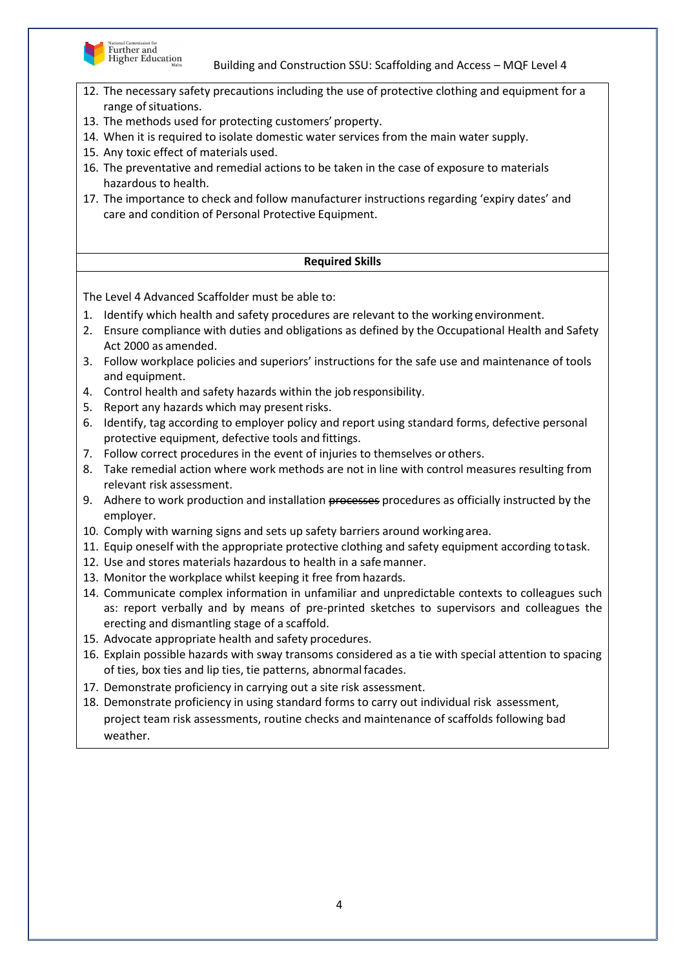

- 12. The necessary safety precautions including the use of protective clothing and equipment for a range of situations.
- 13. The methods used for protecting customers' property.
- 14. When it is required to isolate domestic water services from the main water supply.
- 15. Any toxic effect of materials used.
- 16. The preventative and remedial actions to be taken in the case of exposure to materials hazardous to health.
- 17. The importance to check and follow manufacturer instructions regarding 'expiry dates' and care and condition of Personal Protective Equipment.

## **Required Skills**

- 1. Identify which health and safety procedures are relevant to the working environment.
- 2. Ensure compliance with duties and obligations as defined by the Occupational Health and Safety Act 2000 as amended.
- 3. Follow workplace policies and superiors' instructions for the safe use and maintenance of tools and equipment.
- 4. Control health and safety hazards within the job responsibility.
- 5. Report any hazards which may present risks.
- 6. Identify, tag according to employer policy and report using standard forms, defective personal protective equipment, defective tools and fittings.
- 7. Follow correct procedures in the event of injuries to themselves or others.
- 8. Take remedial action where work methods are not in line with control measures resulting from relevant risk assessment.
- 9. Adhere to work production and installation processes procedures as officially instructed by the employer.
- 10. Comply with warning signs and sets up safety barriers around working area.
- 11. Equip oneself with the appropriate protective clothing and safety equipment according totask.
- 12. Use and stores materials hazardous to health in a safemanner.
- 13. Monitor the workplace whilst keeping it free from hazards.
- 14. Communicate complex information in unfamiliar and unpredictable contexts to colleagues such as: report verbally and by means of pre-printed sketches to supervisors and colleagues the erecting and dismantling stage of a scaffold.
- 15. Advocate appropriate health and safety procedures.
- 16. Explain possible hazards with sway transoms considered as a tie with special attention to spacing of ties, box ties and lip ties, tie patterns, abnormal facades.
- 17. Demonstrate proficiency in carrying out a site risk assessment.
- 18. Demonstrate proficiency in using standard forms to carry out individual risk assessment, project team risk assessments, routine checks and maintenance of scaffolds following bad weather.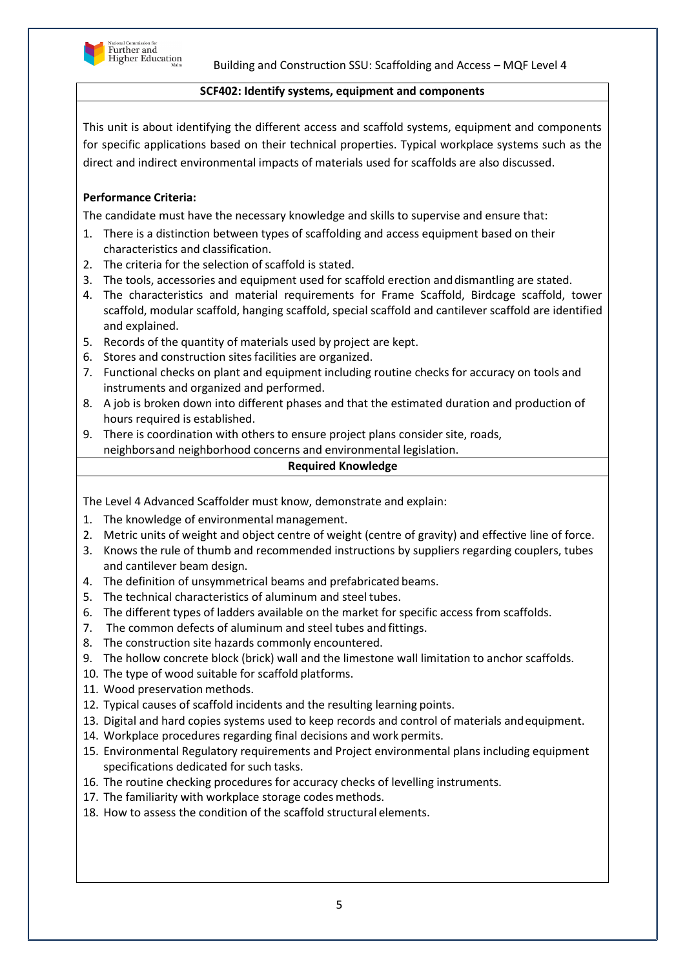

## **SCF402: Identify systems, equipment and components**

This unit is about identifying the different access and scaffold systems, equipment and components for specific applications based on their technical properties. Typical workplace systems such as the direct and indirect environmental impacts of materials used for scaffolds are also discussed.

# **Performance Criteria:**

The candidate must have the necessary knowledge and skills to supervise and ensure that:

- 1. There is a distinction between types of scaffolding and access equipment based on their characteristics and classification.
- 2. The criteria for the selection of scaffold is stated.
- 3. The tools, accessories and equipment used for scaffold erection anddismantling are stated.
- 4. The characteristics and material requirements for Frame Scaffold, Birdcage scaffold, tower scaffold, modular scaffold, hanging scaffold, special scaffold and cantilever scaffold are identified and explained.
- 5. Records of the quantity of materials used by project are kept.
- 6. Stores and construction sitesfacilities are organized.
- 7. Functional checks on plant and equipment including routine checks for accuracy on tools and instruments and organized and performed.
- 8. A job is broken down into different phases and that the estimated duration and production of hours required is established.
- 9. There is coordination with others to ensure project plans consider site, roads, neighborsand neighborhood concerns and environmental legislation.

#### **Required Knowledge**

The Level 4 Advanced Scaffolder must know, demonstrate and explain:

- 1. The knowledge of environmental management.
- 2. Metric units of weight and object centre of weight (centre of gravity) and effective line of force.
- 3. Knows the rule of thumb and recommended instructions by suppliers regarding couplers, tubes and cantilever beam design.
- 4. The definition of unsymmetrical beams and prefabricated beams.
- 5. The technical characteristics of aluminum and steel tubes.
- 6. The different types of ladders available on the market for specific access from scaffolds.
- 7. The common defects of aluminum and steel tubes and fittings.
- 8. The construction site hazards commonly encountered.
- 9. The hollow concrete block (brick) wall and the limestone wall limitation to anchor scaffolds.
- 10. The type of wood suitable for scaffold platforms.
- 11. Wood preservation methods.
- 12. Typical causes of scaffold incidents and the resulting learning points.
- 13. Digital and hard copies systems used to keep records and control of materials andequipment.
- 14. Workplace procedures regarding final decisions and work permits.
- 15. Environmental Regulatory requirements and Project environmental plans including equipment specifications dedicated for such tasks.
- 16. The routine checking procedures for accuracy checks of levelling instruments.
- 17. The familiarity with workplace storage codes methods.
- 18. How to assess the condition of the scaffold structural elements.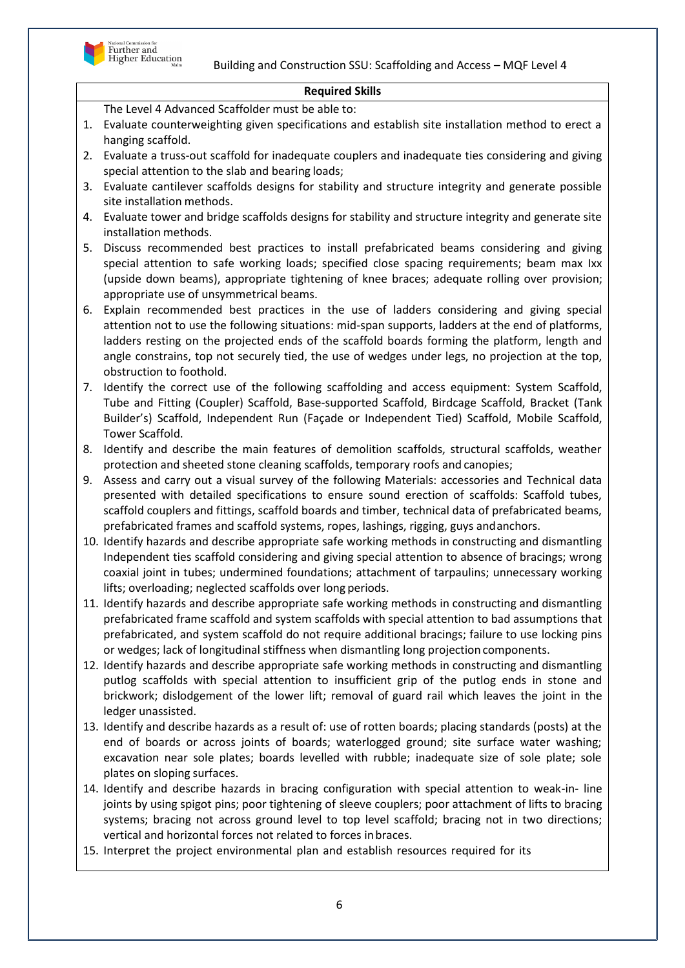

#### **Required Skills**

- 1. Evaluate counterweighting given specifications and establish site installation method to erect a hanging scaffold.
- 2. Evaluate a truss-out scaffold for inadequate couplers and inadequate ties considering and giving special attention to the slab and bearing loads;
- 3. Evaluate cantilever scaffolds designs for stability and structure integrity and generate possible site installation methods.
- 4. Evaluate tower and bridge scaffolds designs for stability and structure integrity and generate site installation methods.
- 5. Discuss recommended best practices to install prefabricated beams considering and giving special attention to safe working loads; specified close spacing requirements; beam max Ixx (upside down beams), appropriate tightening of knee braces; adequate rolling over provision; appropriate use of unsymmetrical beams.
- 6. Explain recommended best practices in the use of ladders considering and giving special attention not to use the following situations: mid-span supports, ladders at the end of platforms, ladders resting on the projected ends of the scaffold boards forming the platform, length and angle constrains, top not securely tied, the use of wedges under legs, no projection at the top, obstruction to foothold.
- 7. Identify the correct use of the following scaffolding and access equipment: System Scaffold, Tube and Fitting (Coupler) Scaffold, Base-supported Scaffold, Birdcage Scaffold, Bracket (Tank Builder's) Scaffold, Independent Run (Façade or Independent Tied) Scaffold, Mobile Scaffold, Tower Scaffold.
- 8. Identify and describe the main features of demolition scaffolds, structural scaffolds, weather protection and sheeted stone cleaning scaffolds, temporary roofs and canopies;
- 9. Assess and carry out a visual survey of the following Materials: accessories and Technical data presented with detailed specifications to ensure sound erection of scaffolds: Scaffold tubes, scaffold couplers and fittings, scaffold boards and timber, technical data of prefabricated beams, prefabricated frames and scaffold systems, ropes, lashings, rigging, guys andanchors.
- 10. Identify hazards and describe appropriate safe working methods in constructing and dismantling Independent ties scaffold considering and giving special attention to absence of bracings; wrong coaxial joint in tubes; undermined foundations; attachment of tarpaulins; unnecessary working lifts; overloading; neglected scaffolds over long periods.
- 11. Identify hazards and describe appropriate safe working methods in constructing and dismantling prefabricated frame scaffold and system scaffolds with special attention to bad assumptions that prefabricated, and system scaffold do not require additional bracings; failure to use locking pins or wedges; lack of longitudinal stiffness when dismantling long projection components.
- 12. Identify hazards and describe appropriate safe working methods in constructing and dismantling putlog scaffolds with special attention to insufficient grip of the putlog ends in stone and brickwork; dislodgement of the lower lift; removal of guard rail which leaves the joint in the ledger unassisted.
- 13. Identify and describe hazards as a result of: use of rotten boards; placing standards (posts) at the end of boards or across joints of boards; waterlogged ground; site surface water washing; excavation near sole plates; boards levelled with rubble; inadequate size of sole plate; sole plates on sloping surfaces.
- 14. Identify and describe hazards in bracing configuration with special attention to weak-in- line joints by using spigot pins; poor tightening of sleeve couplers; poor attachment of lifts to bracing systems; bracing not across ground level to top level scaffold; bracing not in two directions; vertical and horizontal forces not related to forces inbraces.
- 15. Interpret the project environmental plan and establish resources required for its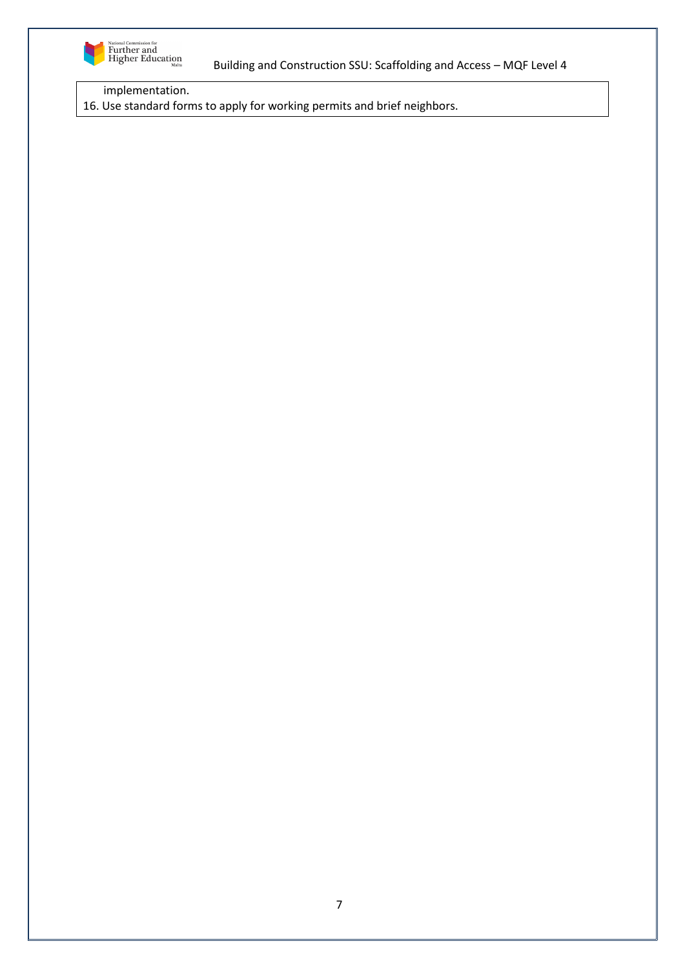

implementation.

16. Use standard forms to apply for working permits and brief neighbors.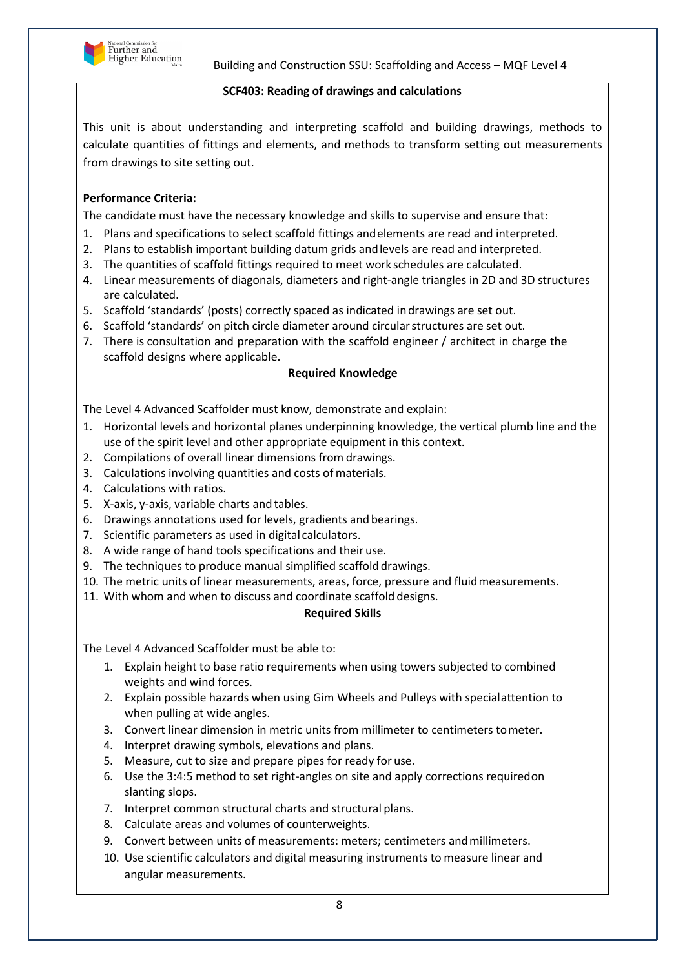

# **SCF403: Reading of drawings and calculations**

This unit is about understanding and interpreting scaffold and building drawings, methods to calculate quantities of fittings and elements, and methods to transform setting out measurements from drawings to site setting out.

# **Performance Criteria:**

The candidate must have the necessary knowledge and skills to supervise and ensure that:

- 1. Plans and specifications to select scaffold fittings andelements are read and interpreted.
- 2. Plans to establish important building datum grids andlevels are read and interpreted.
- 3. The quantities of scaffold fittings required to meet work schedules are calculated.
- 4. Linear measurements of diagonals, diameters and right-angle triangles in 2D and 3D structures are calculated.
- 5. Scaffold 'standards' (posts) correctly spaced as indicated indrawings are set out.
- 6. Scaffold 'standards' on pitch circle diameter around circularstructures are set out.
- 7. There is consultation and preparation with the scaffold engineer / architect in charge the scaffold designs where applicable.

## **Required Knowledge**

The Level 4 Advanced Scaffolder must know, demonstrate and explain:

- 1. Horizontal levels and horizontal planes underpinning knowledge, the vertical plumb line and the use of the spirit level and other appropriate equipment in this context.
- 2. Compilations of overall linear dimensions from drawings.
- 3. Calculations involving quantities and costs of materials.
- 4. Calculations with ratios.
- 5. X-axis, y-axis, variable charts and tables.
- 6. Drawings annotations used for levels, gradients and bearings.
- 7. Scientific parameters as used in digital calculators.
- 8. A wide range of hand tools specifications and their use.
- 9. The techniques to produce manual simplified scaffold drawings.
- 10. The metric units of linear measurements, areas, force, pressure and fluidmeasurements.
- 11. With whom and when to discuss and coordinate scaffold designs.

#### **Required Skills**

- 1. Explain height to base ratio requirements when using towers subjected to combined weights and wind forces.
- 2. Explain possible hazards when using Gim Wheels and Pulleys with specialattention to when pulling at wide angles.
- 3. Convert linear dimension in metric units from millimeter to centimeters tometer.
- 4. Interpret drawing symbols, elevations and plans.
- 5. Measure, cut to size and prepare pipes for ready for use.
- 6. Use the 3:4:5 method to set right-angles on site and apply corrections requiredon slanting slops.
- 7. Interpret common structural charts and structural plans.
- 8. Calculate areas and volumes of counterweights.
- 9. Convert between units of measurements: meters; centimeters andmillimeters.
- 10. Use scientific calculators and digital measuring instruments to measure linear and angular measurements.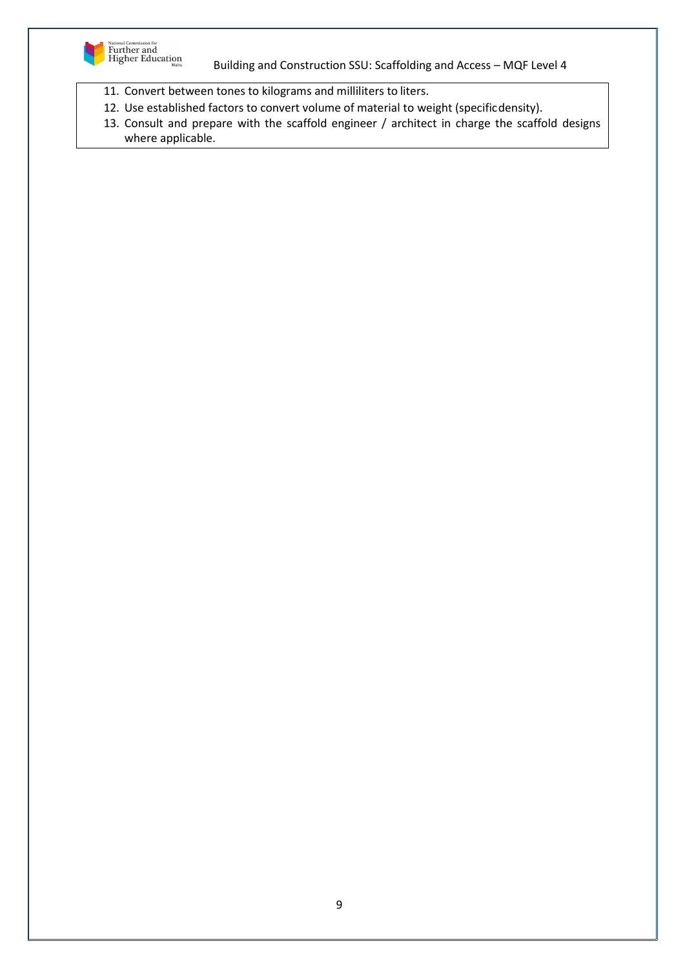

- 11. Convert between tones to kilograms and milliliters to liters.
- 12. Use established factors to convert volume of material to weight (specificdensity).
- 13. Consult and prepare with the scaffold engineer / architect in charge the scaffold designs where applicable.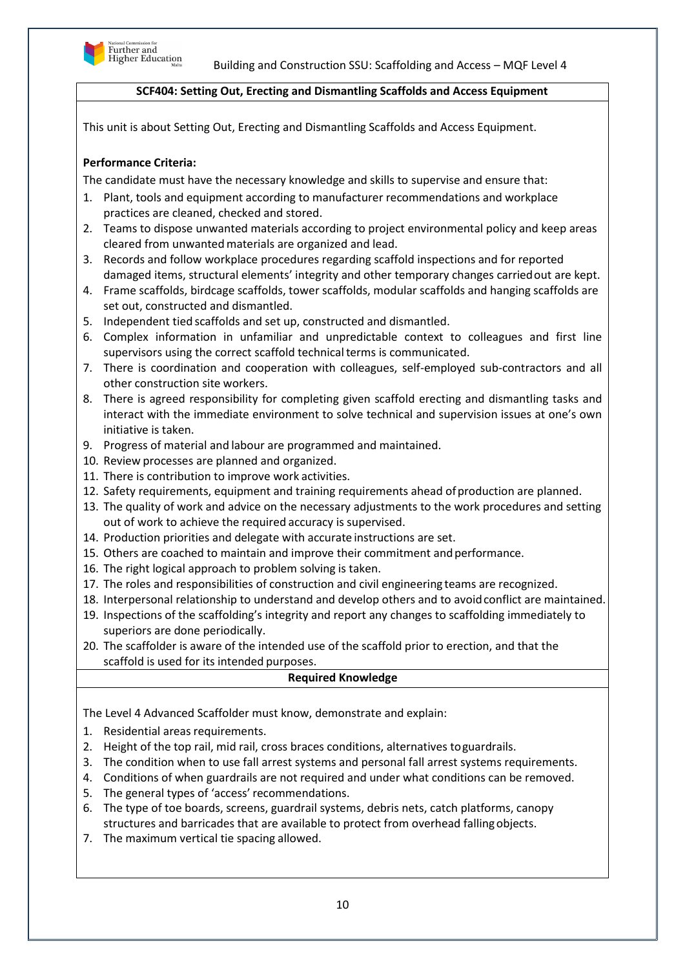

# **SCF404: Setting Out, Erecting and Dismantling Scaffolds and Access Equipment**

This unit is about Setting Out, Erecting and Dismantling Scaffolds and Access Equipment.

# **Performance Criteria:**

The candidate must have the necessary knowledge and skills to supervise and ensure that:

- 1. Plant, tools and equipment according to manufacturer recommendations and workplace practices are cleaned, checked and stored.
- 2. Teams to dispose unwanted materials according to project environmental policy and keep areas cleared from unwantedmaterials are organized and lead.
- 3. Records and follow workplace procedures regarding scaffold inspections and for reported damaged items, structural elements' integrity and other temporary changes carriedout are kept.
- 4. Frame scaffolds, birdcage scaffolds, tower scaffolds, modular scaffolds and hanging scaffolds are set out, constructed and dismantled.
- 5. Independent tied scaffolds and set up, constructed and dismantled.
- 6. Complex information in unfamiliar and unpredictable context to colleagues and first line supervisors using the correct scaffold technical terms is communicated.
- 7. There is coordination and cooperation with colleagues, self-employed sub-contractors and all other construction site workers.
- 8. There is agreed responsibility for completing given scaffold erecting and dismantling tasks and interact with the immediate environment to solve technical and supervision issues at one's own initiative is taken.
- 9. Progress of material and labour are programmed and maintained.
- 10. Review processes are planned and organized.
- 11. There is contribution to improve work activities.
- 12. Safety requirements, equipment and training requirements ahead ofproduction are planned.
- 13. The quality of work and advice on the necessary adjustments to the work procedures and setting out of work to achieve the required accuracy is supervised.
- 14. Production priorities and delegate with accurate instructions are set.
- 15. Others are coached to maintain and improve their commitment andperformance.
- 16. The right logical approach to problem solving is taken.
- 17. The roles and responsibilities of construction and civil engineering teams are recognized.
- 18. Interpersonal relationship to understand and develop others and to avoidconflict are maintained.
- 19. Inspections of the scaffolding's integrity and report any changes to scaffolding immediately to superiors are done periodically.
- 20. The scaffolder is aware of the intended use of the scaffold prior to erection, and that the scaffold is used for its intended purposes.

#### **Required Knowledge**

The Level 4 Advanced Scaffolder must know, demonstrate and explain:

- 1. Residential areas requirements.
- 2. Height of the top rail, mid rail, cross braces conditions, alternatives toguardrails.
- 3. The condition when to use fall arrest systems and personal fall arrest systems requirements.
- 4. Conditions of when guardrails are not required and under what conditions can be removed.
- 5. The general types of 'access' recommendations.
- 6. The type of toe boards, screens, guardrail systems, debris nets, catch platforms, canopy structures and barricades that are available to protect from overhead fallingobjects.
- 7. The maximum vertical tie spacing allowed.